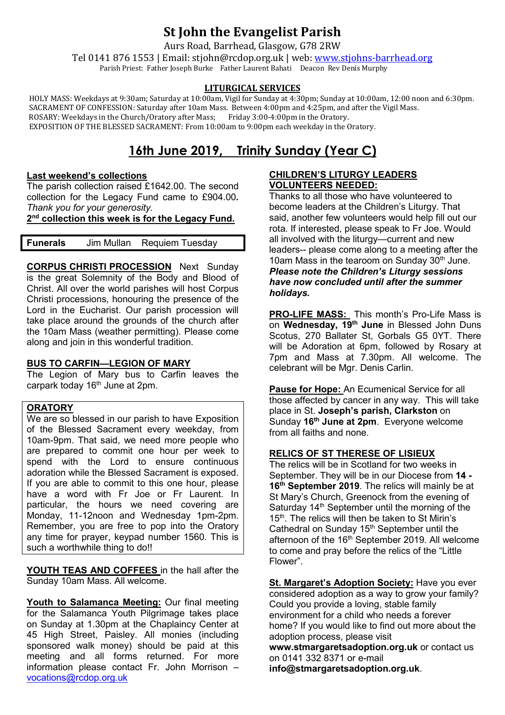# **St John the Evangelist Parish**

Aurs Road, Barrhead, Glasgow, G78 2RW

Tel 0141 876 1553 | Email: stjohn@rcdop.org.uk | web: [www.stjohns-barrhead.org](http://www.stjohns-barrhead.org/) Parish Priest: Father Joseph Burke Father Laurent Bahati Deacon Rev Denis Murphy

### **LITURGICAL SERVICES**

 HOLY MASS: Weekdays at 9:30am; Saturday at 10:00am, Vigil for Sunday at 4:30pm; Sunday at 10:00am, 12:00 noon and 6:30pm. SACRAMENT OF CONFESSION: Saturday after 10am Mass. Between 4:00pm and 4:25pm, and after the Vigil Mass. ROSARY: Weekdays in the Church/Oratory after Mass; Friday 3:00-4:00pm in the Oratory. EXPOSITION OF THE BLESSED SACRAMENT: From 10:00am to 9:00pm each weekday in the Oratory.

## **16th June 2019, Trinity Sunday (Year C)**

#### **Last weekend's collections**

The parish collection raised £1642.00. The second collection for the Legacy Fund came to £904.00*. Thank you for your generosity.* 

**2nd collection this week is for the Legacy Fund.**

**Funerals** Jim Mullan Requiem Tuesday

**CORPUS CHRISTI PROCESSION** Next Sunday is the great Solemnity of the Body and Blood of Christ. All over the world parishes will host Corpus Christi processions, honouring the presence of the Lord in the Eucharist. Our parish procession will take place around the grounds of the church after the 10am Mass (weather permitting). Please come along and join in this wonderful tradition.

### **BUS TO CARFIN—LEGION OF MARY**

The Legion of Mary bus to Carfin leaves the carpark today 16<sup>th</sup> June at 2pm.

#### **ORATORY**

We are so blessed in our parish to have Exposition of the Blessed Sacrament every weekday, from 10am-9pm. That said, we need more people who are prepared to commit one hour per week to spend with the Lord to ensure continuous adoration while the Blessed Sacrament is exposed. If you are able to commit to this one hour, please have a word with Fr Joe or Fr Laurent. In particular, the hours we need covering are Monday, 11-12noon and Wednesday 1pm-2pm. Remember, you are free to pop into the Oratory any time for prayer, keypad number 1560. This is such a worthwhile thing to do!!

**YOUTH TEAS AND COFFEES** in the hall after the Sunday 10am Mass. All welcome.

**Youth to Salamanca Meeting:** Our final meeting for the Salamanca Youth Pilgrimage takes place on Sunday at 1.30pm at the Chaplaincy Center at 45 High Street, Paisley. All monies (including sponsored walk money) should be paid at this meeting and all forms returned. For more information please contact Fr. John Morrison – [vocations@rcdop.org.uk](mailto:vocations@rcdop.org.uk)

### **CHILDREN'S LITURGY LEADERS VOLUNTEERS NEEDED:**

Thanks to all those who have volunteered to become leaders at the Children's Liturgy. That said, another few volunteers would help fill out our rota. If interested, please speak to Fr Joe. Would all involved with the liturgy—current and new leaders-- please come along to a meeting after the 10am Mass in the tearoom on Sunday  $30<sup>th</sup>$  June. *Please note the Children's Liturgy sessions have now concluded until after the summer holidays.*

**PRO-LIFE MASS:** This month's Pro-Life Mass is on **Wednesday, 19th June** in Blessed John Duns Scotus, 270 Ballater St, Gorbals G5 0YT. There will be Adoration at 6pm, followed by Rosary at 7pm and Mass at 7.30pm. All welcome. The celebrant will be Mgr. Denis Carlin.

**Pause for Hope:** An Ecumenical Service for all those affected by cancer in any way. This will take place in St. **Joseph's parish, Clarkston** on Sunday **16th June at 2pm**. Everyone welcome from all faiths and none.

### **RELICS OF ST THERESE OF LISIEUX**

The relics will be in Scotland for two weeks in September. They will be in our Diocese from **14 - 16th September 2019**. The relics will mainly be at St Mary's Church, Greenock from the evening of Saturday  $14<sup>th</sup>$  September until the morning of the 15<sup>th</sup>. The relics will then be taken to St Mirin's Cathedral on Sunday 15<sup>th</sup> September until the afternoon of the 16<sup>th</sup> September 2019. All welcome to come and pray before the relics of the "Little Flower".

**St. Margaret's Adoption Society:** Have you ever considered adoption as a way to grow your family? Could you provide a loving, stable family environment for a child who needs a forever home? If you would like to find out more about the adoption process, please visit **[www.stmargaretsadoption.org.uk](http://www.stmargaretsadoption.org.uk/)** or contact us on 0141 332 8371 or e-mail

**[info@stmargaretsadoption.org.uk](mailto:INFO@STMARGARETSADOPTION.ORG.UK)**.